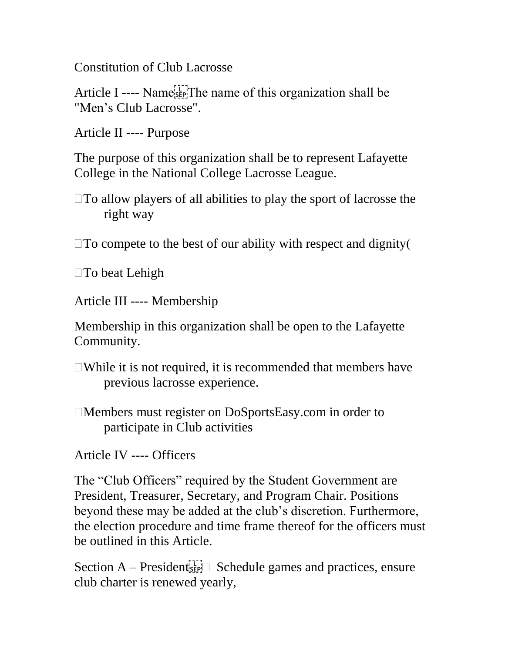Constitution of Club Lacrosse

Article I ---- Name  $\mathbb{E}[\mathbb{F}]$ . The name of this organization shall be "Men's Club Lacrosse".

Article II ---- Purpose

The purpose of this organization shall be to represent Lafayette College in the National College Lacrosse League.

 $\Box$  To compete to the best of our ability with respect and dignity (

□To beat Lehigh

Article III ---- Membership

Membership in this organization shall be open to the Lafayette Community.

 $\Box$ While it is not required, it is recommended that members have previous lacrosse experience.

Members must register on DoSportsEasy.com in order to participate in Club activities

Article IV ---- Officers

The "Club Officers" required by the Student Government are President, Treasurer, Secretary, and Program Chair. Positions beyond these may be added at the club's discretion. Furthermore, the election procedure and time frame thereof for the officers must be outlined in this Article.

Section  $A -$  President<sup>1</sup><sub>sEP</sub> Schedule games and practices, ensure club charter is renewed yearly,

 $\Box$  To allow players of all abilities to play the sport of lacrosse the right way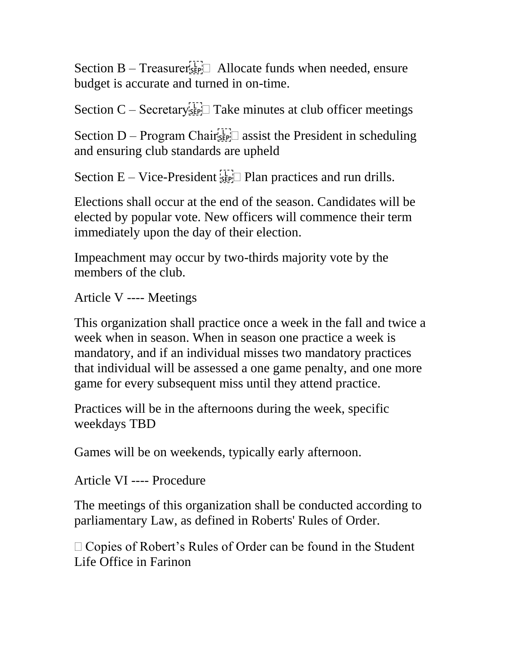Section  $B - T$  reasurer  $\mathbb{R}^T$  Allocate funds when needed, ensure budget is accurate and turned in on-time.

Section  $C$  – Secretary  $\mathbb{E}[\mathbb{F}]$  Take minutes at club officer meetings

Section D – Program Chair $\overline{s_{\text{EP}}}$  assist the President in scheduling and ensuring club standards are upheld

Section  $E - V$ ice-President  $\mathbb{E}$  Plan practices and run drills.

Elections shall occur at the end of the season. Candidates will be elected by popular vote. New officers will commence their term immediately upon the day of their election.

Impeachment may occur by two-thirds majority vote by the members of the club.

Article V ---- Meetings

This organization shall practice once a week in the fall and twice a week when in season. When in season one practice a week is mandatory, and if an individual misses two mandatory practices that individual will be assessed a one game penalty, and one more game for every subsequent miss until they attend practice.

Practices will be in the afternoons during the week, specific weekdays TBD

Games will be on weekends, typically early afternoon.

Article VI ---- Procedure

The meetings of this organization shall be conducted according to parliamentary Law, as defined in Roberts' Rules of Order.

 $\Box$  Copies of Robert's Rules of Order can be found in the Student Life Office in Farinon